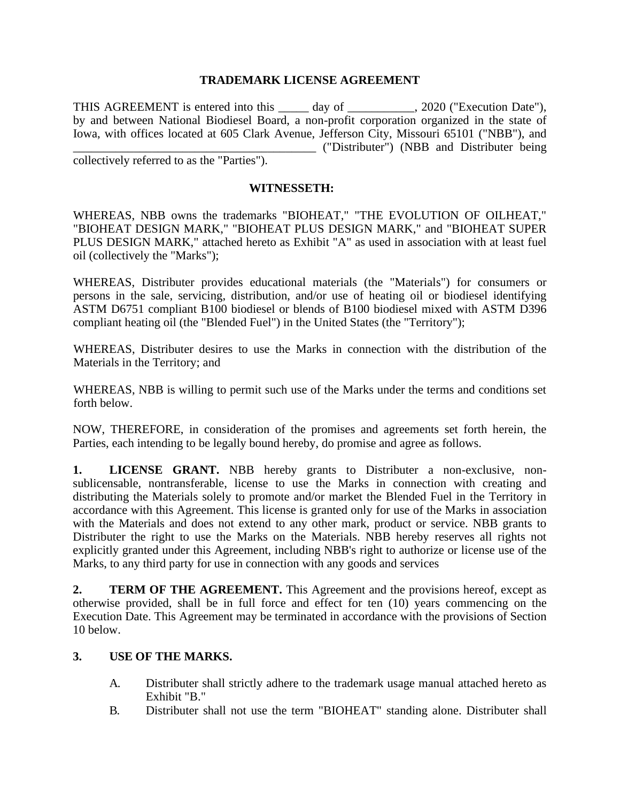### **TRADEMARK LICENSE AGREEMENT**

THIS AGREEMENT is entered into this \_\_\_\_\_ day of \_\_\_\_\_\_\_\_\_\_, 2020 ("Execution Date"), by and between National Biodiesel Board, a non-profit corporation organized in the state of Iowa, with offices located at 605 Clark Avenue, Jefferson City, Missouri 65101 ("NBB"), and \_\_\_\_\_\_\_\_\_\_\_\_\_\_\_\_\_\_\_\_\_\_\_\_\_\_\_\_\_\_\_\_\_\_\_\_\_\_\_\_ ("Distributer") (NBB and Distributer being collectively referred to as the "Parties").

#### **WITNESSETH:**

WHEREAS, NBB owns the trademarks "BIOHEAT," "THE EVOLUTION OF OILHEAT," "BIOHEAT DESIGN MARK," "BIOHEAT PLUS DESIGN MARK," and "BIOHEAT SUPER PLUS DESIGN MARK," attached hereto as Exhibit "A" as used in association with at least fuel oil (collectively the "Marks");

WHEREAS, Distributer provides educational materials (the "Materials") for consumers or persons in the sale, servicing, distribution, and/or use of heating oil or biodiesel identifying ASTM D6751 compliant B100 biodiesel or blends of B100 biodiesel mixed with ASTM D396 compliant heating oil (the "Blended Fuel") in the United States (the "Territory");

WHEREAS, Distributer desires to use the Marks in connection with the distribution of the Materials in the Territory; and

WHEREAS, NBB is willing to permit such use of the Marks under the terms and conditions set forth below.

NOW, THEREFORE, in consideration of the promises and agreements set forth herein, the Parties, each intending to be legally bound hereby, do promise and agree as follows.

**1. LICENSE GRANT.** NBB hereby grants to Distributer a non-exclusive, nonsublicensable, nontransferable, license to use the Marks in connection with creating and distributing the Materials solely to promote and/or market the Blended Fuel in the Territory in accordance with this Agreement. This license is granted only for use of the Marks in association with the Materials and does not extend to any other mark, product or service. NBB grants to Distributer the right to use the Marks on the Materials. NBB hereby reserves all rights not explicitly granted under this Agreement, including NBB's right to authorize or license use of the Marks, to any third party for use in connection with any goods and services

**2. TERM OF THE AGREEMENT.** This Agreement and the provisions hereof, except as otherwise provided, shall be in full force and effect for ten (10) years commencing on the Execution Date. This Agreement may be terminated in accordance with the provisions of Section 10 below.

#### **3. USE OF THE MARKS.**

- A. Distributer shall strictly adhere to the trademark usage manual attached hereto as Exhibit "B."
- B. Distributer shall not use the term "BIOHEAT" standing alone. Distributer shall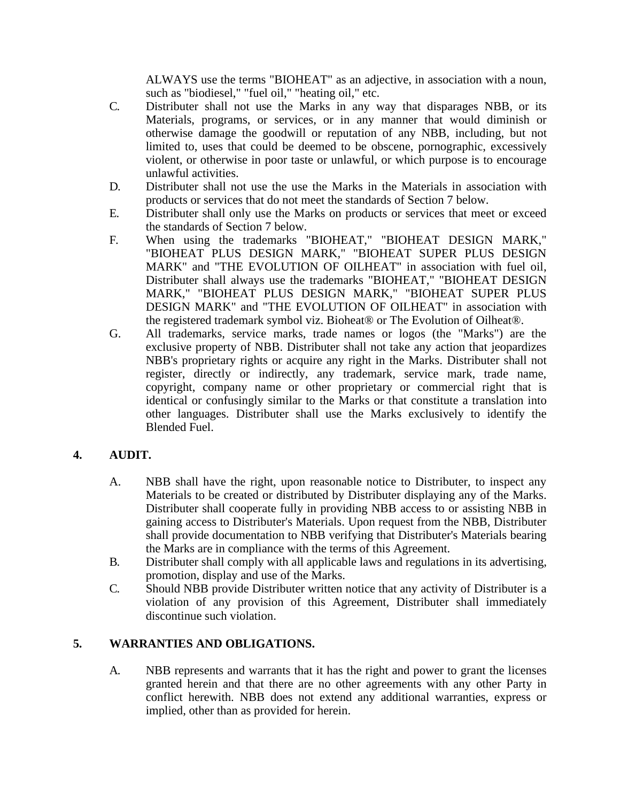ALWAYS use the terms "BIOHEAT" as an adjective, in association with a noun, such as "biodiesel," "fuel oil," "heating oil," etc.

- C. Distributer shall not use the Marks in any way that disparages NBB, or its Materials, programs, or services, or in any manner that would diminish or otherwise damage the goodwill or reputation of any NBB, including, but not limited to, uses that could be deemed to be obscene, pornographic, excessively violent, or otherwise in poor taste or unlawful, or which purpose is to encourage unlawful activities.
- D. Distributer shall not use the use the Marks in the Materials in association with products or services that do not meet the standards of Section 7 below.
- E. Distributer shall only use the Marks on products or services that meet or exceed the standards of Section 7 below.
- F. When using the trademarks "BIOHEAT," "BIOHEAT DESIGN MARK," "BIOHEAT PLUS DESIGN MARK," "BIOHEAT SUPER PLUS DESIGN MARK" and "THE EVOLUTION OF OILHEAT" in association with fuel oil, Distributer shall always use the trademarks "BIOHEAT," "BIOHEAT DESIGN MARK," "BIOHEAT PLUS DESIGN MARK," "BIOHEAT SUPER PLUS DESIGN MARK" and "THE EVOLUTION OF OILHEAT" in association with the registered trademark symbol viz. Bioheat® or The Evolution of Oilheat®.
- G. All trademarks, service marks, trade names or logos (the "Marks") are the exclusive property of NBB. Distributer shall not take any action that jeopardizes NBB's proprietary rights or acquire any right in the Marks. Distributer shall not register, directly or indirectly, any trademark, service mark, trade name, copyright, company name or other proprietary or commercial right that is identical or confusingly similar to the Marks or that constitute a translation into other languages. Distributer shall use the Marks exclusively to identify the Blended Fuel.

# **4. AUDIT.**

- A. NBB shall have the right, upon reasonable notice to Distributer, to inspect any Materials to be created or distributed by Distributer displaying any of the Marks. Distributer shall cooperate fully in providing NBB access to or assisting NBB in gaining access to Distributer's Materials. Upon request from the NBB, Distributer shall provide documentation to NBB verifying that Distributer's Materials bearing the Marks are in compliance with the terms of this Agreement.
- B. Distributer shall comply with all applicable laws and regulations in its advertising, promotion, display and use of the Marks.
- C. Should NBB provide Distributer written notice that any activity of Distributer is a violation of any provision of this Agreement, Distributer shall immediately discontinue such violation.

# **5. WARRANTIES AND OBLIGATIONS.**

A. NBB represents and warrants that it has the right and power to grant the licenses granted herein and that there are no other agreements with any other Party in conflict herewith. NBB does not extend any additional warranties, express or implied, other than as provided for herein.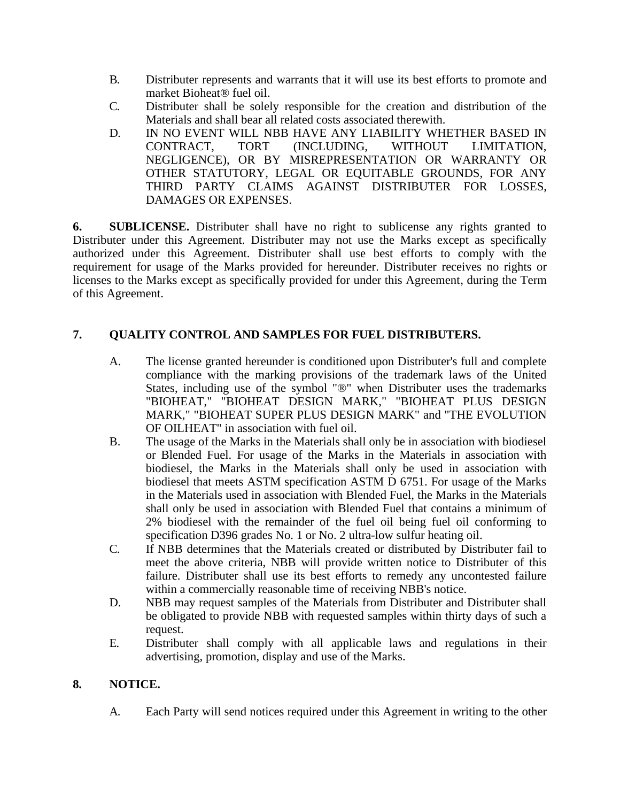- B. Distributer represents and warrants that it will use its best efforts to promote and market Bioheat® fuel oil.
- C. Distributer shall be solely responsible for the creation and distribution of the Materials and shall bear all related costs associated therewith.
- D. IN NO EVENT WILL NBB HAVE ANY LIABILITY WHETHER BASED IN CONTRACT, TORT (INCLUDING, WITHOUT LIMITATION, NEGLIGENCE), OR BY MISREPRESENTATION OR WARRANTY OR OTHER STATUTORY, LEGAL OR EQUITABLE GROUNDS, FOR ANY THIRD PARTY CLAIMS AGAINST DISTRIBUTER FOR LOSSES, DAMAGES OR EXPENSES.

**6. SUBLICENSE.** Distributer shall have no right to sublicense any rights granted to Distributer under this Agreement. Distributer may not use the Marks except as specifically authorized under this Agreement. Distributer shall use best efforts to comply with the requirement for usage of the Marks provided for hereunder. Distributer receives no rights or licenses to the Marks except as specifically provided for under this Agreement, during the Term of this Agreement.

# **7. QUALITY CONTROL AND SAMPLES FOR FUEL DISTRIBUTERS.**

- A. The license granted hereunder is conditioned upon Distributer's full and complete compliance with the marking provisions of the trademark laws of the United States, including use of the symbol "®" when Distributer uses the trademarks "BIOHEAT," "BIOHEAT DESIGN MARK," "BIOHEAT PLUS DESIGN MARK," "BIOHEAT SUPER PLUS DESIGN MARK" and "THE EVOLUTION OF OILHEAT" in association with fuel oil.
- B. The usage of the Marks in the Materials shall only be in association with biodiesel or Blended Fuel. For usage of the Marks in the Materials in association with biodiesel, the Marks in the Materials shall only be used in association with biodiesel that meets ASTM specification ASTM D 6751. For usage of the Marks in the Materials used in association with Blended Fuel, the Marks in the Materials shall only be used in association with Blended Fuel that contains a minimum of 2% biodiesel with the remainder of the fuel oil being fuel oil conforming to specification D396 grades No. 1 or No. 2 ultra-low sulfur heating oil.
- C. If NBB determines that the Materials created or distributed by Distributer fail to meet the above criteria, NBB will provide written notice to Distributer of this failure. Distributer shall use its best efforts to remedy any uncontested failure within a commercially reasonable time of receiving NBB's notice.
- D. NBB may request samples of the Materials from Distributer and Distributer shall be obligated to provide NBB with requested samples within thirty days of such a request.
- E. Distributer shall comply with all applicable laws and regulations in their advertising, promotion, display and use of the Marks.

# **8. NOTICE.**

A. Each Party will send notices required under this Agreement in writing to the other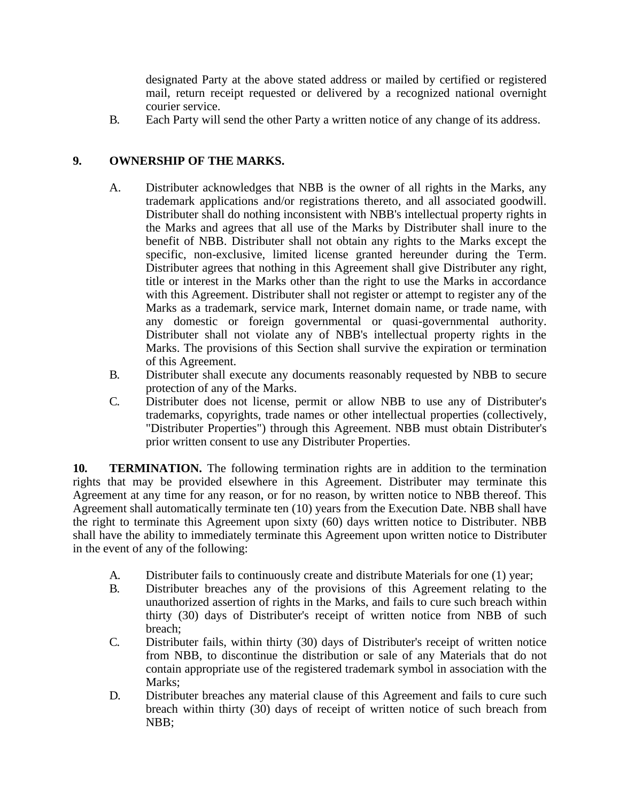designated Party at the above stated address or mailed by certified or registered mail, return receipt requested or delivered by a recognized national overnight courier service.

B. Each Party will send the other Party a written notice of any change of its address.

# **9. OWNERSHIP OF THE MARKS.**

- A. Distributer acknowledges that NBB is the owner of all rights in the Marks, any trademark applications and/or registrations thereto, and all associated goodwill. Distributer shall do nothing inconsistent with NBB's intellectual property rights in the Marks and agrees that all use of the Marks by Distributer shall inure to the benefit of NBB. Distributer shall not obtain any rights to the Marks except the specific, non-exclusive, limited license granted hereunder during the Term. Distributer agrees that nothing in this Agreement shall give Distributer any right, title or interest in the Marks other than the right to use the Marks in accordance with this Agreement. Distributer shall not register or attempt to register any of the Marks as a trademark, service mark, Internet domain name, or trade name, with any domestic or foreign governmental or quasi-governmental authority. Distributer shall not violate any of NBB's intellectual property rights in the Marks. The provisions of this Section shall survive the expiration or termination of this Agreement.
- B. Distributer shall execute any documents reasonably requested by NBB to secure protection of any of the Marks.
- C. Distributer does not license, permit or allow NBB to use any of Distributer's trademarks, copyrights, trade names or other intellectual properties (collectively, "Distributer Properties") through this Agreement. NBB must obtain Distributer's prior written consent to use any Distributer Properties.

**10. TERMINATION.** The following termination rights are in addition to the termination rights that may be provided elsewhere in this Agreement. Distributer may terminate this Agreement at any time for any reason, or for no reason, by written notice to NBB thereof. This Agreement shall automatically terminate ten (10) years from the Execution Date. NBB shall have the right to terminate this Agreement upon sixty (60) days written notice to Distributer. NBB shall have the ability to immediately terminate this Agreement upon written notice to Distributer in the event of any of the following:

- A. Distributer fails to continuously create and distribute Materials for one (1) year;
- B. Distributer breaches any of the provisions of this Agreement relating to the unauthorized assertion of rights in the Marks, and fails to cure such breach within thirty (30) days of Distributer's receipt of written notice from NBB of such breach;
- C. Distributer fails, within thirty (30) days of Distributer's receipt of written notice from NBB, to discontinue the distribution or sale of any Materials that do not contain appropriate use of the registered trademark symbol in association with the Marks;
- D. Distributer breaches any material clause of this Agreement and fails to cure such breach within thirty (30) days of receipt of written notice of such breach from NBB;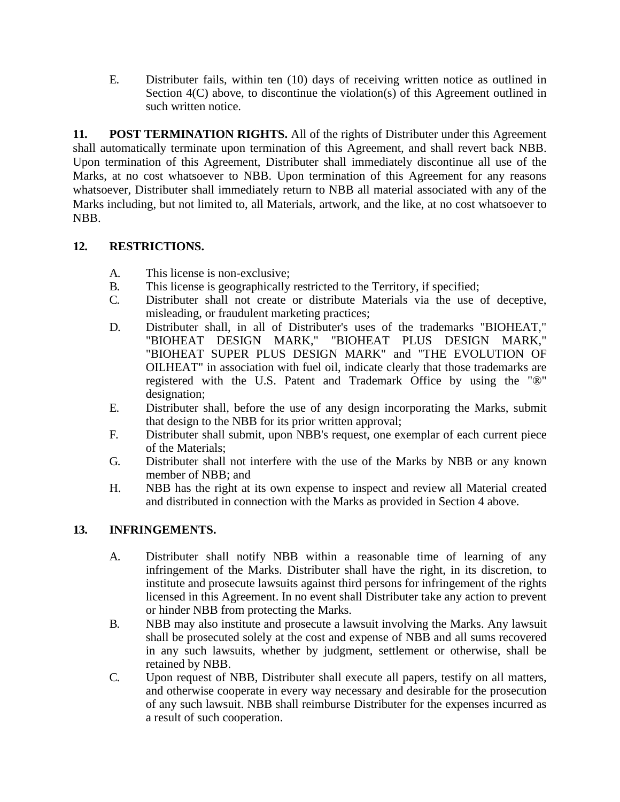E. Distributer fails, within ten (10) days of receiving written notice as outlined in Section  $4(C)$  above, to discontinue the violation(s) of this Agreement outlined in such written notice.

**11. POST TERMINATION RIGHTS.** All of the rights of Distributer under this Agreement shall automatically terminate upon termination of this Agreement, and shall revert back NBB. Upon termination of this Agreement, Distributer shall immediately discontinue all use of the Marks, at no cost whatsoever to NBB. Upon termination of this Agreement for any reasons whatsoever, Distributer shall immediately return to NBB all material associated with any of the Marks including, but not limited to, all Materials, artwork, and the like, at no cost whatsoever to NBB.

# **12. RESTRICTIONS.**

- A. This license is non-exclusive;
- B. This license is geographically restricted to the Territory, if specified;
- C. Distributer shall not create or distribute Materials via the use of deceptive, misleading, or fraudulent marketing practices;
- D. Distributer shall, in all of Distributer's uses of the trademarks "BIOHEAT," "BIOHEAT DESIGN MARK," "BIOHEAT PLUS DESIGN MARK," "BIOHEAT SUPER PLUS DESIGN MARK" and "THE EVOLUTION OF OILHEAT" in association with fuel oil, indicate clearly that those trademarks are registered with the U.S. Patent and Trademark Office by using the "®" designation;
- E. Distributer shall, before the use of any design incorporating the Marks, submit that design to the NBB for its prior written approval;
- F. Distributer shall submit, upon NBB's request, one exemplar of each current piece of the Materials;
- G. Distributer shall not interfere with the use of the Marks by NBB or any known member of NBB; and
- H. NBB has the right at its own expense to inspect and review all Material created and distributed in connection with the Marks as provided in Section 4 above.

# **13. INFRINGEMENTS.**

- A. Distributer shall notify NBB within a reasonable time of learning of any infringement of the Marks. Distributer shall have the right, in its discretion, to institute and prosecute lawsuits against third persons for infringement of the rights licensed in this Agreement. In no event shall Distributer take any action to prevent or hinder NBB from protecting the Marks.
- B. NBB may also institute and prosecute a lawsuit involving the Marks. Any lawsuit shall be prosecuted solely at the cost and expense of NBB and all sums recovered in any such lawsuits, whether by judgment, settlement or otherwise, shall be retained by NBB.
- C. Upon request of NBB, Distributer shall execute all papers, testify on all matters, and otherwise cooperate in every way necessary and desirable for the prosecution of any such lawsuit. NBB shall reimburse Distributer for the expenses incurred as a result of such cooperation.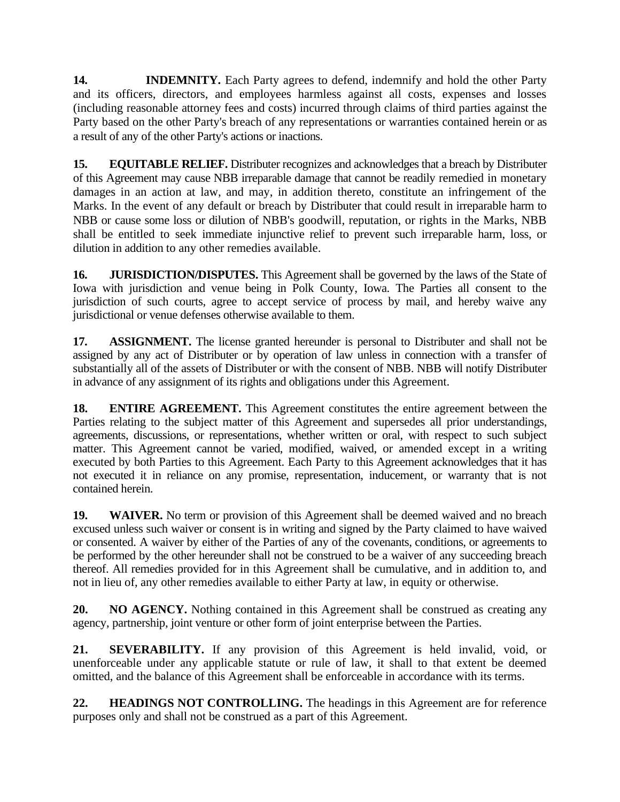**14. INDEMNITY.** Each Party agrees to defend, indemnify and hold the other Party and its officers, directors, and employees harmless against all costs, expenses and losses (including reasonable attorney fees and costs) incurred through claims of third parties against the Party based on the other Party's breach of any representations or warranties contained herein or as a result of any of the other Party's actions or inactions.

**15. EQUITABLE RELIEF.** Distributer recognizes and acknowledges that a breach by Distributer of this Agreement may cause NBB irreparable damage that cannot be readily remedied in monetary damages in an action at law, and may, in addition thereto, constitute an infringement of the Marks. In the event of any default or breach by Distributer that could result in irreparable harm to NBB or cause some loss or dilution of NBB's goodwill, reputation, or rights in the Marks, NBB shall be entitled to seek immediate injunctive relief to prevent such irreparable harm, loss, or dilution in addition to any other remedies available.

**16. JURISDICTION/DISPUTES.** This Agreement shall be governed by the laws of the State of Iowa with jurisdiction and venue being in Polk County, Iowa. The Parties all consent to the jurisdiction of such courts, agree to accept service of process by mail, and hereby waive any jurisdictional or venue defenses otherwise available to them.

**17. ASSIGNMENT.** The license granted hereunder is personal to Distributer and shall not be assigned by any act of Distributer or by operation of law unless in connection with a transfer of substantially all of the assets of Distributer or with the consent of NBB. NBB will notify Distributer in advance of any assignment of its rights and obligations under this Agreement.

**18. ENTIRE AGREEMENT.** This Agreement constitutes the entire agreement between the Parties relating to the subject matter of this Agreement and supersedes all prior understandings, agreements, discussions, or representations, whether written or oral, with respect to such subject matter. This Agreement cannot be varied, modified, waived, or amended except in a writing executed by both Parties to this Agreement. Each Party to this Agreement acknowledges that it has not executed it in reliance on any promise, representation, inducement, or warranty that is not contained herein.

**19. WAIVER.** No term or provision of this Agreement shall be deemed waived and no breach excused unless such waiver or consent is in writing and signed by the Party claimed to have waived or consented. A waiver by either of the Parties of any of the covenants, conditions, or agreements to be performed by the other hereunder shall not be construed to be a waiver of any succeeding breach thereof. All remedies provided for in this Agreement shall be cumulative, and in addition to, and not in lieu of, any other remedies available to either Party at law, in equity or otherwise.

**20. NO AGENCY.** Nothing contained in this Agreement shall be construed as creating any agency, partnership, joint venture or other form of joint enterprise between the Parties.

**21. SEVERABILITY.** If any provision of this Agreement is held invalid, void, or unenforceable under any applicable statute or rule of law, it shall to that extent be deemed omitted, and the balance of this Agreement shall be enforceable in accordance with its terms.

**22. HEADINGS NOT CONTROLLING.** The headings in this Agreement are for reference purposes only and shall not be construed as a part of this Agreement.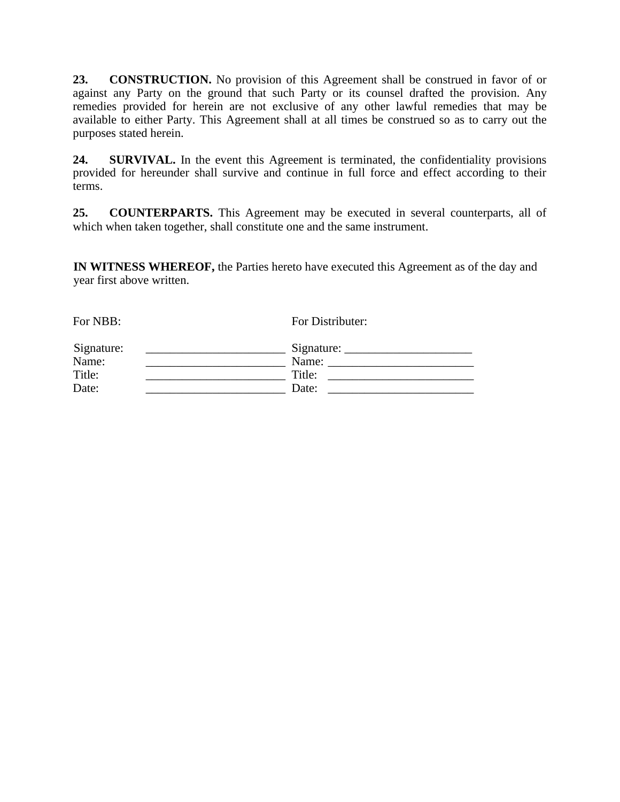**23. CONSTRUCTION.** No provision of this Agreement shall be construed in favor of or against any Party on the ground that such Party or its counsel drafted the provision. Any remedies provided for herein are not exclusive of any other lawful remedies that may be available to either Party. This Agreement shall at all times be construed so as to carry out the purposes stated herein.

**24. SURVIVAL.** In the event this Agreement is terminated, the confidentiality provisions provided for hereunder shall survive and continue in full force and effect according to their terms.

**25. COUNTERPARTS.** This Agreement may be executed in several counterparts, all of which when taken together, shall constitute one and the same instrument.

**IN WITNESS WHEREOF,** the Parties hereto have executed this Agreement as of the day and year first above written.

| For Distributer:                                |       |
|-------------------------------------------------|-------|
| $Signature: \_\_\_\_\_\_\_\_\_\_\_\_\_\_\_\_\_$ |       |
| Title:                                          |       |
| Date:                                           |       |
|                                                 | Name: |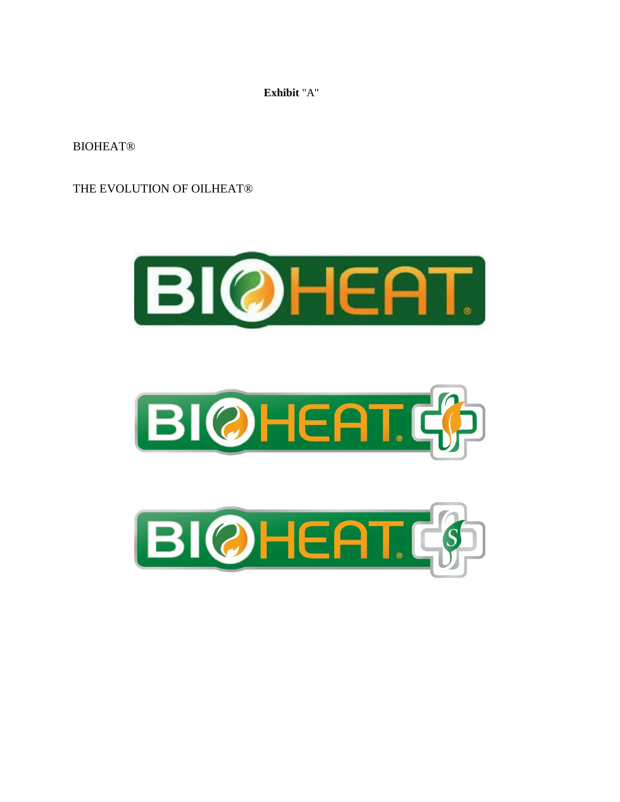**Exhibit** "A"

**BIOHEAT®** 

THE EVOLUTION OF OILHEAT®





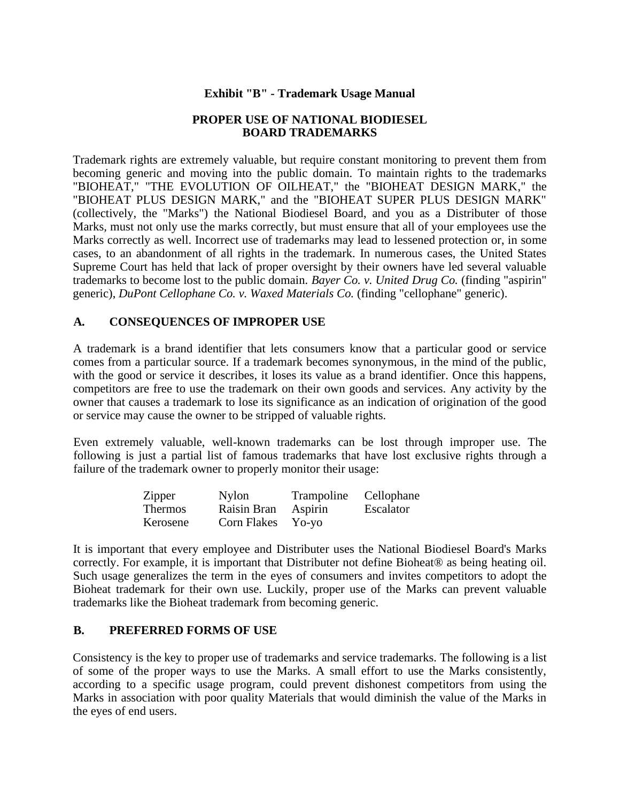#### **Exhibit "B" - Trademark Usage Manual**

#### **PROPER USE OF NATIONAL BIODIESEL BOARD TRADEMARKS**

Trademark rights are extremely valuable, but require constant monitoring to prevent them from becoming generic and moving into the public domain. To maintain rights to the trademarks "BIOHEAT," "THE EVOLUTION OF OILHEAT," the "BIOHEAT DESIGN MARK," the "BIOHEAT PLUS DESIGN MARK," and the "BIOHEAT SUPER PLUS DESIGN MARK" (collectively, the "Marks") the National Biodiesel Board, and you as a Distributer of those Marks, must not only use the marks correctly, but must ensure that all of your employees use the Marks correctly as well. Incorrect use of trademarks may lead to lessened protection or, in some cases, to an abandonment of all rights in the trademark. In numerous cases, the United States Supreme Court has held that lack of proper oversight by their owners have led several valuable trademarks to become lost to the public domain. *Bayer Co. v. United Drug Co.* (finding "aspirin" generic), *DuPont Cellophane Co. v. Waxed Materials Co.* (finding "cellophane" generic).

#### **A. CONSEQUENCES OF IMPROPER USE**

A trademark is a brand identifier that lets consumers know that a particular good or service comes from a particular source. If a trademark becomes synonymous, in the mind of the public, with the good or service it describes, it loses its value as a brand identifier. Once this happens, competitors are free to use the trademark on their own goods and services. Any activity by the owner that causes a trademark to lose its significance as an indication of origination of the good or service may cause the owner to be stripped of valuable rights.

Even extremely valuable, well-known trademarks can be lost through improper use. The following is just a partial list of famous trademarks that have lost exclusive rights through a failure of the trademark owner to properly monitor their usage:

| <b>Zipper</b>  | <b>Nylon</b>       | Trampoline | Cellophane |
|----------------|--------------------|------------|------------|
| <b>Thermos</b> | Raisin Bran        | Aspirin    | Escalator  |
| Kerosene       | <b>Corn Flakes</b> | $Yo-vo$    |            |

It is important that every employee and Distributer uses the National Biodiesel Board's Marks correctly. For example, it is important that Distributer not define Bioheat® as being heating oil. Such usage generalizes the term in the eyes of consumers and invites competitors to adopt the Bioheat trademark for their own use. Luckily, proper use of the Marks can prevent valuable trademarks like the Bioheat trademark from becoming generic.

#### **B. PREFERRED FORMS OF USE**

Consistency is the key to proper use of trademarks and service trademarks. The following is a list of some of the proper ways to use the Marks. A small effort to use the Marks consistently, according to a specific usage program, could prevent dishonest competitors from using the Marks in association with poor quality Materials that would diminish the value of the Marks in the eyes of end users.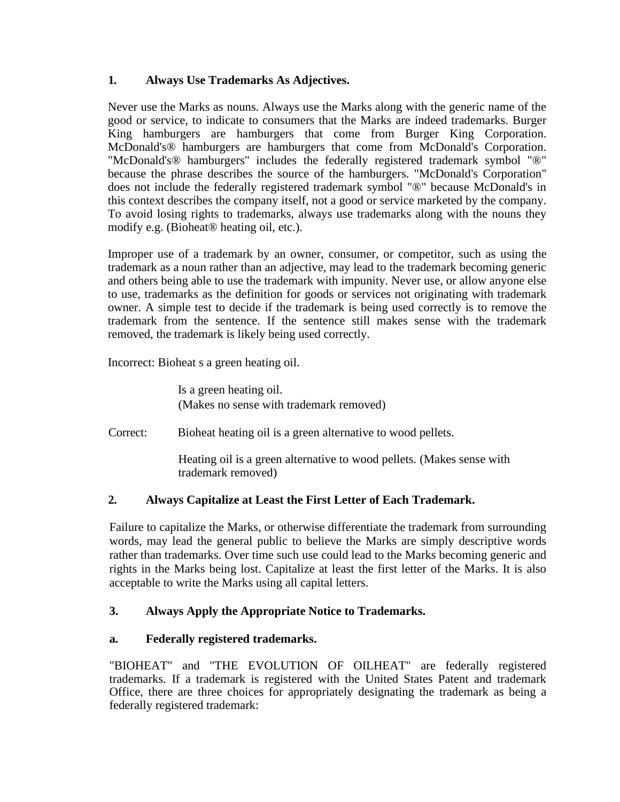# **1. Always Use Trademarks As Adjectives.**

Never use the Marks as nouns. Always use the Marks along with the generic name of the good or service, to indicate to consumers that the Marks are indeed trademarks. Burger King hamburgers are hamburgers that come from Burger King Corporation. McDonald's® hamburgers are hamburgers that come from McDonald's Corporation. "McDonald's® hamburgers" includes the federally registered trademark symbol "®" because the phrase describes the source of the hamburgers. "McDonald's Corporation" does not include the federally registered trademark symbol "®" because McDonald's in this context describes the company itself, not a good or service marketed by the company. To avoid losing rights to trademarks, always use trademarks along with the nouns they modify e.g. (Bioheat® heating oil, etc.).

Improper use of a trademark by an owner, consumer, or competitor, such as using the trademark as a noun rather than an adjective, may lead to the trademark becoming generic and others being able to use the trademark with impunity. Never use, or allow anyone else to use, trademarks as the definition for goods or services not originating with trademark owner. A simple test to decide if the trademark is being used correctly is to remove the trademark from the sentence. If the sentence still makes sense with the trademark removed, the trademark is likely being used correctly.

Incorrect: Bioheat s a green heating oil.

Is a green heating oil. (Makes no sense with trademark removed)

Correct: Bioheat heating oil is a green alternative to wood pellets.

Heating oil is a green alternative to wood pellets. (Makes sense with trademark removed)

# **2. Always Capitalize at Least the First Letter of Each Trademark.**

Failure to capitalize the Marks, or otherwise differentiate the trademark from surrounding words, may lead the general public to believe the Marks are simply descriptive words rather than trademarks. Over time such use could lead to the Marks becoming generic and rights in the Marks being lost. Capitalize at least the first letter of the Marks. It is also acceptable to write the Marks using all capital letters.

# **3. Always Apply the Appropriate Notice to Trademarks.**

# **a. Federally registered trademarks.**

"BIOHEAT" and "THE EVOLUTION OF OILHEAT" are federally registered trademarks. If a trademark is registered with the United States Patent and trademark Office, there are three choices for appropriately designating the trademark as being a federally registered trademark: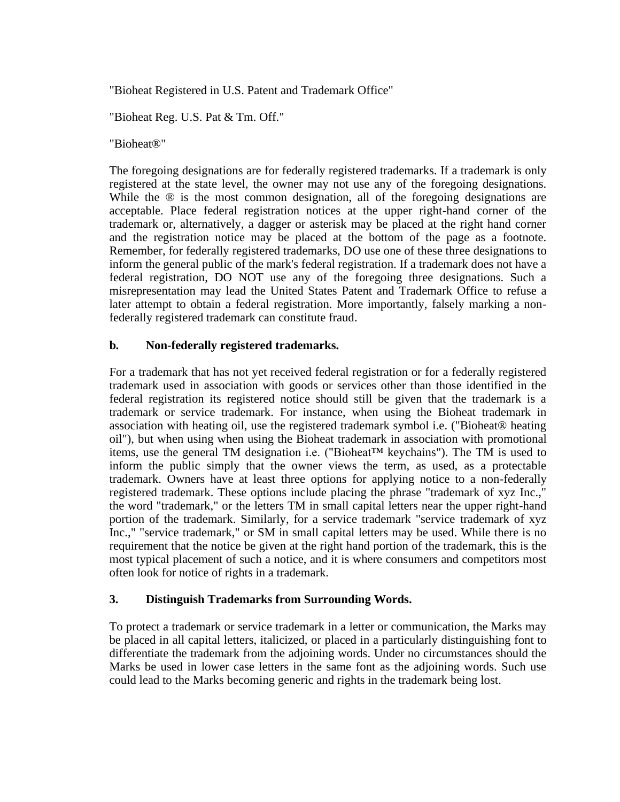"Bioheat Registered in U.S. Patent and Trademark Office"

"Bioheat Reg. U.S. Pat & Tm. Off."

"Bioheat®"

The foregoing designations are for federally registered trademarks. If a trademark is only registered at the state level, the owner may not use any of the foregoing designations. While the  $\circledR$  is the most common designation, all of the foregoing designations are acceptable. Place federal registration notices at the upper right-hand corner of the trademark or, alternatively, a dagger or asterisk may be placed at the right hand corner and the registration notice may be placed at the bottom of the page as a footnote. Remember, for federally registered trademarks, DO use one of these three designations to inform the general public of the mark's federal registration. If a trademark does not have a federal registration, DO NOT use any of the foregoing three designations. Such a misrepresentation may lead the United States Patent and Trademark Office to refuse a later attempt to obtain a federal registration. More importantly, falsely marking a nonfederally registered trademark can constitute fraud.

#### **b. Non-federally registered trademarks.**

For a trademark that has not yet received federal registration or for a federally registered trademark used in association with goods or services other than those identified in the federal registration its registered notice should still be given that the trademark is a trademark or service trademark. For instance, when using the Bioheat trademark in association with heating oil, use the registered trademark symbol i.e. ("Bioheat® heating oil"), but when using when using the Bioheat trademark in association with promotional items, use the general TM designation i.e. ("Bioheat<sup>TM</sup> keychains"). The TM is used to inform the public simply that the owner views the term, as used, as a protectable trademark. Owners have at least three options for applying notice to a non-federally registered trademark. These options include placing the phrase "trademark of xyz Inc.," the word "trademark," or the letters TM in small capital letters near the upper right-hand portion of the trademark. Similarly, for a service trademark "service trademark of xyz Inc.," "service trademark," or SM in small capital letters may be used. While there is no requirement that the notice be given at the right hand portion of the trademark, this is the most typical placement of such a notice, and it is where consumers and competitors most often look for notice of rights in a trademark.

#### **3. Distinguish Trademarks from Surrounding Words.**

To protect a trademark or service trademark in a letter or communication, the Marks may be placed in all capital letters, italicized, or placed in a particularly distinguishing font to differentiate the trademark from the adjoining words. Under no circumstances should the Marks be used in lower case letters in the same font as the adjoining words. Such use could lead to the Marks becoming generic and rights in the trademark being lost.